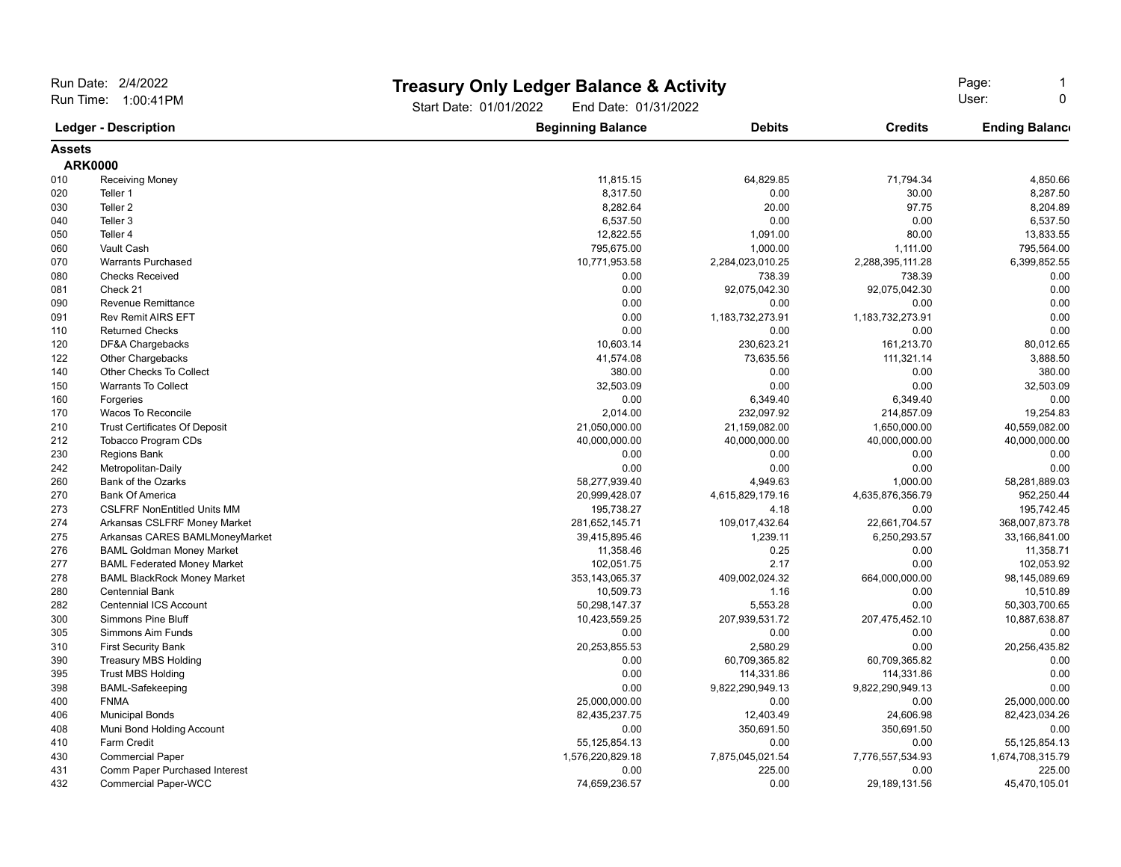| Run Date: 2/4/2022<br>Run Time: 1:00:41PM<br><b>Ledger - Description</b> |                                      |                                                | <b>Treasury Only Ledger Balance &amp; Activity</b> |                   | Page:                 |  |
|--------------------------------------------------------------------------|--------------------------------------|------------------------------------------------|----------------------------------------------------|-------------------|-----------------------|--|
|                                                                          |                                      | Start Date: 01/01/2022<br>End Date: 01/31/2022 |                                                    | User:<br>$\Omega$ |                       |  |
|                                                                          |                                      | <b>Beginning Balance</b>                       | <b>Debits</b>                                      | <b>Credits</b>    | <b>Ending Balance</b> |  |
| <b>Assets</b>                                                            |                                      |                                                |                                                    |                   |                       |  |
|                                                                          | <b>ARK0000</b>                       |                                                |                                                    |                   |                       |  |
| 010                                                                      | <b>Receiving Money</b>               | 11,815.15                                      | 64,829.85                                          | 71,794.34         | 4,850.66              |  |
| 020                                                                      | Teller 1                             | 8,317.50                                       | 0.00                                               | 30.00             | 8,287.50              |  |
| 030                                                                      | Teller <sub>2</sub>                  | 8,282.64                                       | 20.00                                              | 97.75             | 8,204.89              |  |
| 040                                                                      | Teller <sub>3</sub>                  | 6,537.50                                       | 0.00                                               | 0.00              | 6,537.50              |  |
| 050                                                                      | Teller 4                             | 12,822.55                                      | 1,091.00                                           | 80.00             | 13,833.55             |  |
| 060                                                                      | Vault Cash                           | 795,675.00                                     | 1,000.00                                           | 1,111.00          | 795,564.00            |  |
| 070                                                                      | <b>Warrants Purchased</b>            | 10,771,953.58                                  | 2,284,023,010.25                                   | 2,288,395,111.28  | 6,399,852.55          |  |
| 080                                                                      | <b>Checks Received</b>               | 0.00                                           | 738.39                                             | 738.39            | 0.00                  |  |
| 081                                                                      | Check 21                             | 0.00                                           | 92,075,042.30                                      | 92,075,042.30     | 0.00                  |  |
| 090                                                                      | <b>Revenue Remittance</b>            | 0.00                                           | 0.00                                               | 0.00              | 0.00                  |  |
| 091                                                                      | <b>Rev Remit AIRS EFT</b>            | 0.00                                           | 1,183,732,273.91                                   | 1,183,732,273.91  | 0.00                  |  |
| 110                                                                      | <b>Returned Checks</b>               | 0.00                                           | 0.00                                               | 0.00              | 0.00                  |  |
| 120                                                                      | DF&A Chargebacks                     | 10,603.14                                      | 230,623.21                                         | 161,213.70        | 80,012.65             |  |
| 122                                                                      | Other Chargebacks                    | 41,574.08                                      | 73,635.56                                          | 111,321.14        | 3,888.50              |  |
| 140                                                                      | Other Checks To Collect              | 380.00                                         | 0.00                                               | 0.00              | 380.00                |  |
| 150                                                                      | <b>Warrants To Collect</b>           | 32,503.09                                      | 0.00                                               | 0.00              | 32,503.09             |  |
| 160                                                                      | Forgeries                            | 0.00                                           | 6,349.40                                           | 6,349.40          | 0.00                  |  |
| 170                                                                      | Wacos To Reconcile                   | 2,014.00                                       | 232,097.92                                         | 214,857.09        | 19,254.83             |  |
| 210                                                                      | <b>Trust Certificates Of Deposit</b> | 21,050,000.00                                  | 21,159,082.00                                      | 1,650,000.00      | 40,559,082.00         |  |
| 212                                                                      | Tobacco Program CDs                  | 40,000,000.00                                  | 40,000,000.00                                      | 40,000,000.00     | 40,000,000.00         |  |
| 230                                                                      | <b>Regions Bank</b>                  | 0.00                                           | 0.00                                               | 0.00              | 0.00                  |  |
| 242                                                                      | Metropolitan-Daily                   | 0.00                                           | 0.00                                               | 0.00              | 0.00                  |  |
| 260                                                                      | Bank of the Ozarks                   | 58,277,939.40                                  | 4,949.63                                           | 1,000.00          | 58,281,889.03         |  |
| 270                                                                      | <b>Bank Of America</b>               | 20,999,428.07                                  | 4,615,829,179.16                                   | 4,635,876,356.79  | 952,250.44            |  |
| 273                                                                      | <b>CSLFRF NonEntitled Units MM</b>   | 195,738.27                                     | 4.18                                               | 0.00              | 195,742.45            |  |
| 274                                                                      | Arkansas CSLFRF Money Market         | 281,652,145.71                                 | 109,017,432.64                                     | 22,661,704.57     | 368,007,873.78        |  |
| 275                                                                      | Arkansas CARES BAMLMoneyMarket       | 39,415,895.46                                  | 1,239.11                                           | 6,250,293.57      | 33,166,841.00         |  |
| 276                                                                      | <b>BAML Goldman Money Market</b>     | 11,358.46                                      | 0.25                                               | 0.00              | 11,358.71             |  |
| 277                                                                      | <b>BAML Federated Money Market</b>   | 102,051.75                                     | 2.17                                               | 0.00              | 102,053.92            |  |
| 278                                                                      | <b>BAML BlackRock Money Market</b>   | 353, 143, 065. 37                              | 409,002,024.32                                     | 664,000,000.00    | 98,145,089.69         |  |
| 280                                                                      | <b>Centennial Bank</b>               | 10,509.73                                      | 1.16                                               | 0.00              | 10,510.89             |  |
| 282                                                                      | <b>Centennial ICS Account</b>        | 50,298,147.37                                  | 5,553.28                                           | 0.00              | 50,303,700.65         |  |
| 300                                                                      | <b>Simmons Pine Bluff</b>            | 10,423,559.25                                  | 207,939,531.72                                     | 207,475,452.10    | 10,887,638.87         |  |
| 305                                                                      | Simmons Aim Funds                    | 0.00                                           | 0.00                                               | 0.00              | 0.00                  |  |
| 310                                                                      | <b>First Security Bank</b>           | 20,253,855.53                                  | 2,580.29                                           | 0.00              | 20,256,435.82         |  |
| 390                                                                      | <b>Treasury MBS Holding</b>          | 0.00                                           | 60,709,365.82                                      | 60,709,365.82     | 0.00                  |  |
| 395                                                                      | <b>Trust MBS Holding</b>             | 0.00                                           | 114,331.86                                         | 114,331.86        | 0.00                  |  |
| 398                                                                      | <b>BAML-Safekeeping</b>              | 0.00                                           | 9,822,290,949.13                                   | 9,822,290,949.13  | 0.00                  |  |
| 400                                                                      | <b>FNMA</b>                          | 25,000,000.00                                  | 0.00                                               | 0.00              | 25,000,000.00         |  |
| 406                                                                      | <b>Municipal Bonds</b>               | 82,435,237.75                                  | 12,403.49                                          | 24,606.98         | 82,423,034.26         |  |
| 408                                                                      | Muni Bond Holding Account            | 0.00                                           | 350,691.50                                         | 350,691.50        | 0.00                  |  |
| 410                                                                      | <b>Farm Credit</b>                   | 55,125,854.13                                  | 0.00                                               | 0.00              | 55,125,854.13         |  |
| 430                                                                      | <b>Commercial Paper</b>              | 1,576,220,829.18                               | 7,875,045,021.54                                   | 7,776,557,534.93  | 1,674,708,315.79      |  |
| 431                                                                      | Comm Paper Purchased Interest        | 0.00                                           | 225.00                                             | 0.00              | 225.00                |  |
| 432                                                                      | <b>Commercial Paper-WCC</b>          | 74,659,236.57                                  | 0.00                                               | 29,189,131.56     | 45,470,105.01         |  |